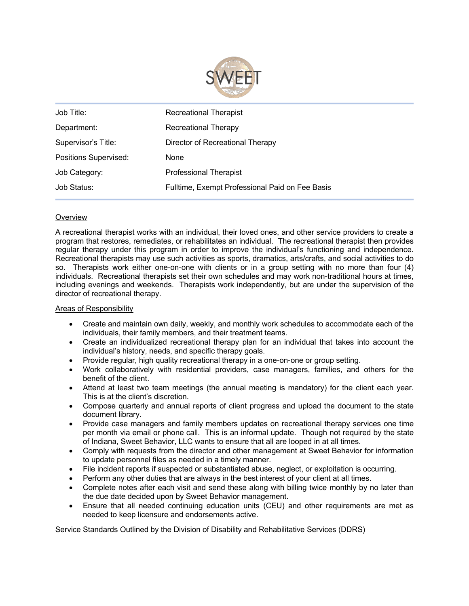

| Job Title:                   | Recreational Therapist                          |  |
|------------------------------|-------------------------------------------------|--|
| Department:                  | Recreational Therapy                            |  |
| Supervisor's Title:          | Director of Recreational Therapy                |  |
| <b>Positions Supervised:</b> | None                                            |  |
| Job Category:                | <b>Professional Therapist</b>                   |  |
| Job Status:                  | Fulltime, Exempt Professional Paid on Fee Basis |  |

# **Overview**

A recreational therapist works with an individual, their loved ones, and other service providers to create a program that restores, remediates, or rehabilitates an individual. The recreational therapist then provides regular therapy under this program in order to improve the individual's functioning and independence. Recreational therapists may use such activities as sports, dramatics, arts/crafts, and social activities to do so. Therapists work either one-on-one with clients or in a group setting with no more than four (4) individuals. Recreational therapists set their own schedules and may work non-traditional hours at times, including evenings and weekends. Therapists work independently, but are under the supervision of the director of recreational therapy.

## Areas of Responsibility

- Create and maintain own daily, weekly, and monthly work schedules to accommodate each of the individuals, their family members, and their treatment teams.
- Create an individualized recreational therapy plan for an individual that takes into account the individual's history, needs, and specific therapy goals.
- Provide regular, high quality recreational therapy in a one-on-one or group setting.
- Work collaboratively with residential providers, case managers, families, and others for the benefit of the client.
- Attend at least two team meetings (the annual meeting is mandatory) for the client each year. This is at the client's discretion.
- Compose quarterly and annual reports of client progress and upload the document to the state document library.
- Provide case managers and family members updates on recreational therapy services one time per month via email or phone call. This is an informal update. Though not required by the state of Indiana, Sweet Behavior, LLC wants to ensure that all are looped in at all times.
- Comply with requests from the director and other management at Sweet Behavior for information to update personnel files as needed in a timely manner.
- File incident reports if suspected or substantiated abuse, neglect, or exploitation is occurring.
- Perform any other duties that are always in the best interest of your client at all times.
- Complete notes after each visit and send these along with billing twice monthly by no later than the due date decided upon by Sweet Behavior management.
- Ensure that all needed continuing education units (CEU) and other requirements are met as needed to keep licensure and endorsements active.

## Service Standards Outlined by the Division of Disability and Rehabilitative Services (DDRS)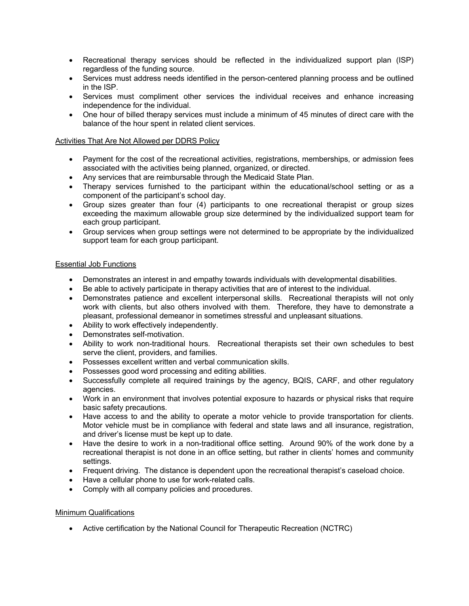- Recreational therapy services should be reflected in the individualized support plan (ISP) regardless of the funding source.
- Services must address needs identified in the person-centered planning process and be outlined in the ISP.
- Services must compliment other services the individual receives and enhance increasing independence for the individual.
- One hour of billed therapy services must include a minimum of 45 minutes of direct care with the balance of the hour spent in related client services.

## Activities That Are Not Allowed per DDRS Policy

- Payment for the cost of the recreational activities, registrations, memberships, or admission fees associated with the activities being planned, organized, or directed.
- Any services that are reimbursable through the Medicaid State Plan.
- Therapy services furnished to the participant within the educational/school setting or as a component of the participant's school day.
- Group sizes greater than four (4) participants to one recreational therapist or group sizes exceeding the maximum allowable group size determined by the individualized support team for each group participant.
- Group services when group settings were not determined to be appropriate by the individualized support team for each group participant.

## Essential Job Functions

- Demonstrates an interest in and empathy towards individuals with developmental disabilities.
- Be able to actively participate in therapy activities that are of interest to the individual.
- Demonstrates patience and excellent interpersonal skills. Recreational therapists will not only work with clients, but also others involved with them. Therefore, they have to demonstrate a pleasant, professional demeanor in sometimes stressful and unpleasant situations.
- Ability to work effectively independently.
- Demonstrates self-motivation.
- Ability to work non-traditional hours. Recreational therapists set their own schedules to best serve the client, providers, and families.
- Possesses excellent written and verbal communication skills.
- Possesses good word processing and editing abilities.
- Successfully complete all required trainings by the agency, BQIS, CARF, and other regulatory agencies.
- Work in an environment that involves potential exposure to hazards or physical risks that require basic safety precautions.
- Have access to and the ability to operate a motor vehicle to provide transportation for clients. Motor vehicle must be in compliance with federal and state laws and all insurance, registration, and driver's license must be kept up to date.
- Have the desire to work in a non-traditional office setting. Around 90% of the work done by a recreational therapist is not done in an office setting, but rather in clients' homes and community settings.
- Frequent driving. The distance is dependent upon the recreational therapist's caseload choice.
- Have a cellular phone to use for work-related calls.
- Comply with all company policies and procedures.

## Minimum Qualifications

• Active certification by the National Council for Therapeutic Recreation (NCTRC)